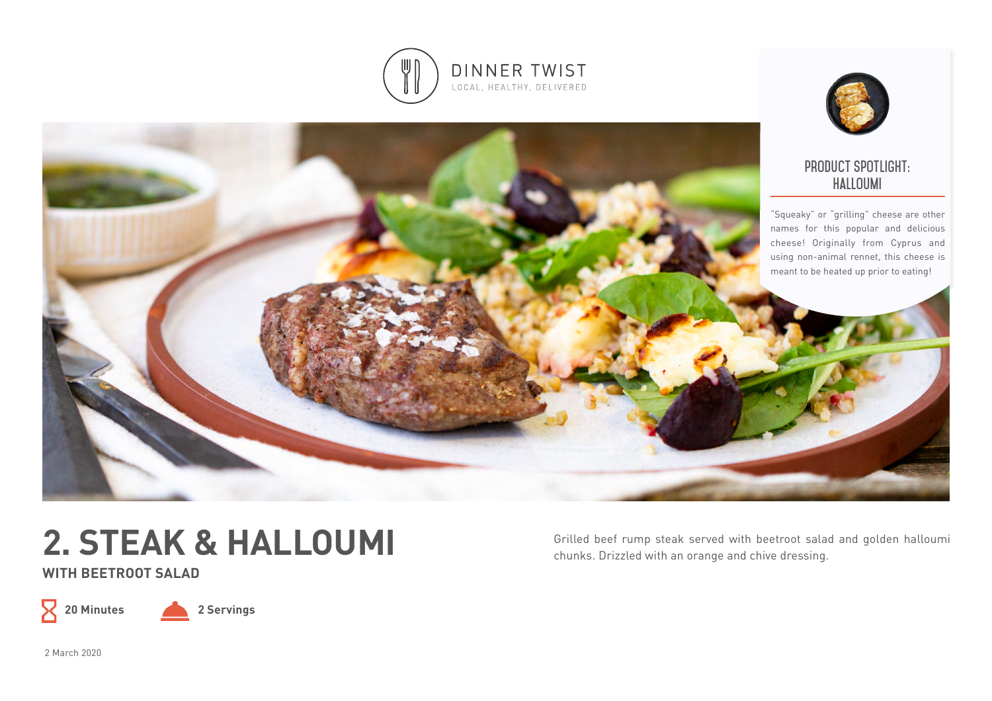



### **product spotlight: halloumi**

"Squeaky" or "grilling" cheese are other names for this popular and delicious cheese! Originally from Cyprus and using non-animal rennet, this cheese is meant to be heated up prior to eating!



**WITH BEETROOT SALAD** 



**20 Minutes 2 Servings**

Grilled beef rump steak served with beetroot salad and golden halloumi chunks. Drizzled with an orange and chive dressing.

2 March 2020